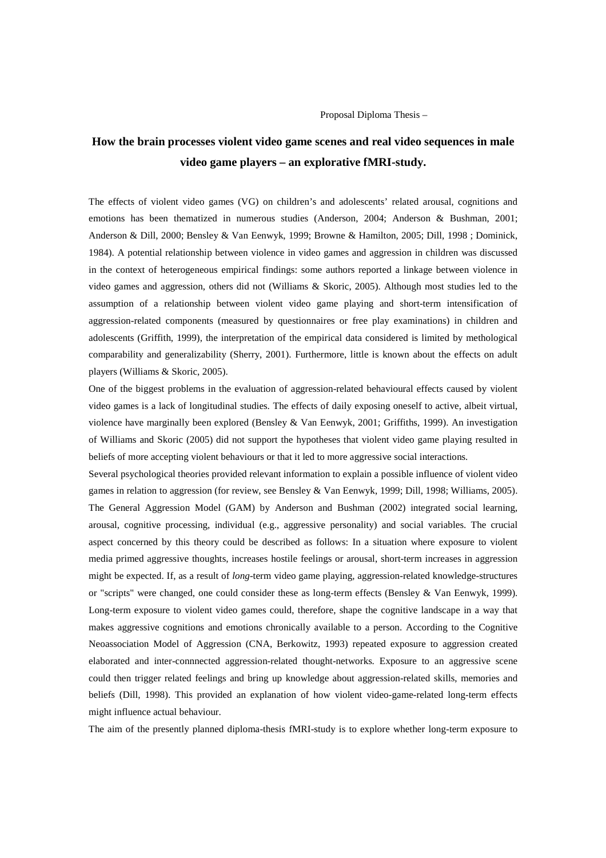Proposal Diploma Thesis –

## **How the brain processes violent video game scenes and real video sequences in male video game players – an explorative fMRI-study.**

The effects of violent video games (VG) on children's and adolescents' related arousal, cognitions and emotions has been thematized in numerous studies (Anderson, 2004; Anderson & Bushman, 2001; Anderson & Dill, 2000; Bensley & Van Eenwyk, 1999; Browne & Hamilton, 2005; Dill, 1998 ; Dominick, 1984). A potential relationship between violence in video games and aggression in children was discussed in the context of heterogeneous empirical findings: some authors reported a linkage between violence in video games and aggression, others did not (Williams & Skoric, 2005). Although most studies led to the assumption of a relationship between violent video game playing and short-term intensification of aggression-related components (measured by questionnaires or free play examinations) in children and adolescents (Griffith, 1999), the interpretation of the empirical data considered is limited by methological comparability and generalizability (Sherry, 2001). Furthermore, little is known about the effects on adult players (Williams & Skoric, 2005).

One of the biggest problems in the evaluation of aggression-related behavioural effects caused by violent video games is a lack of longitudinal studies. The effects of daily exposing oneself to active, albeit virtual, violence have marginally been explored (Bensley & Van Eenwyk, 2001; Griffiths, 1999). An investigation of Williams and Skoric (2005) did not support the hypotheses that violent video game playing resulted in beliefs of more accepting violent behaviours or that it led to more aggressive social interactions.

Several psychological theories provided relevant information to explain a possible influence of violent video games in relation to aggression (for review, see Bensley & Van Eenwyk, 1999; Dill, 1998; Williams, 2005). The General Aggression Model (GAM) by Anderson and Bushman (2002) integrated social learning, arousal, cognitive processing, individual (e.g., aggressive personality) and social variables. The crucial aspect concerned by this theory could be described as follows: In a situation where exposure to violent media primed aggressive thoughts, increases hostile feelings or arousal, short-term increases in aggression might be expected. If, as a result of *long*-term video game playing, aggression-related knowledge-structures or "scripts" were changed, one could consider these as long-term effects (Bensley & Van Eenwyk, 1999). Long-term exposure to violent video games could, therefore, shape the cognitive landscape in a way that makes aggressive cognitions and emotions chronically available to a person. According to the Cognitive Neoassociation Model of Aggression (CNA, Berkowitz, 1993) repeated exposure to aggression created elaborated and inter-connnected aggression-related thought-networks. Exposure to an aggressive scene could then trigger related feelings and bring up knowledge about aggression-related skills, memories and beliefs (Dill, 1998). This provided an explanation of how violent video-game-related long-term effects might influence actual behaviour.

The aim of the presently planned diploma-thesis fMRI-study is to explore whether long-term exposure to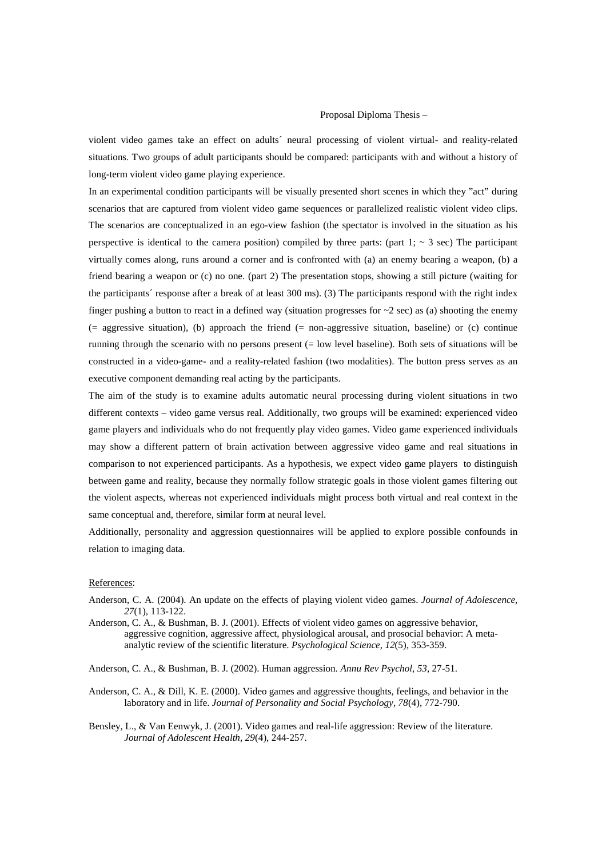## Proposal Diploma Thesis –

violent video games take an effect on adults´ neural processing of violent virtual- and reality-related situations. Two groups of adult participants should be compared: participants with and without a history of long-term violent video game playing experience.

In an experimental condition participants will be visually presented short scenes in which they "act" during scenarios that are captured from violent video game sequences or parallelized realistic violent video clips. The scenarios are conceptualized in an ego-view fashion (the spectator is involved in the situation as his perspective is identical to the camera position) compiled by three parts: (part 1;  $\sim$  3 sec) The participant virtually comes along, runs around a corner and is confronted with (a) an enemy bearing a weapon, (b) a friend bearing a weapon or (c) no one. (part 2) The presentation stops, showing a still picture (waiting for the participants´ response after a break of at least 300 ms). (3) The participants respond with the right index finger pushing a button to react in a defined way (situation progresses for  $\sim$  2 sec) as (a) shooting the enemy (= aggressive situation), (b) approach the friend (= non-aggressive situation, baseline) or (c) continue running through the scenario with no persons present (= low level baseline). Both sets of situations will be constructed in a video-game- and a reality-related fashion (two modalities). The button press serves as an executive component demanding real acting by the participants.

The aim of the study is to examine adults automatic neural processing during violent situations in two different contexts – video game versus real. Additionally, two groups will be examined: experienced video game players and individuals who do not frequently play video games. Video game experienced individuals may show a different pattern of brain activation between aggressive video game and real situations in comparison to not experienced participants. As a hypothesis, we expect video game players to distinguish between game and reality, because they normally follow strategic goals in those violent games filtering out the violent aspects, whereas not experienced individuals might process both virtual and real context in the same conceptual and, therefore, similar form at neural level.

Additionally, personality and aggression questionnaires will be applied to explore possible confounds in relation to imaging data.

## References:

- Anderson, C. A. (2004). An update on the effects of playing violent video games. *Journal of Adolescence, 27*(1), 113-122.
- Anderson, C. A., & Bushman, B. J. (2001). Effects of violent video games on aggressive behavior, aggressive cognition, aggressive affect, physiological arousal, and prosocial behavior: A metaanalytic review of the scientific literature. *Psychological Science, 12*(5), 353-359.

Anderson, C. A., & Bushman, B. J. (2002). Human aggression. *Annu Rev Psychol, 53*, 27-51.

- Anderson, C. A., & Dill, K. E. (2000). Video games and aggressive thoughts, feelings, and behavior in the laboratory and in life. *Journal of Personality and Social Psychology, 78*(4), 772-790.
- Bensley, L., & Van Eenwyk, J. (2001). Video games and real-life aggression: Review of the literature. *Journal of Adolescent Health, 29*(4), 244-257.